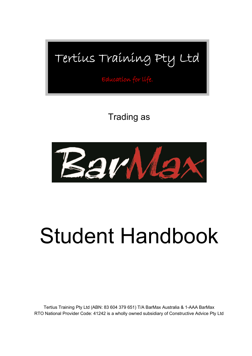## Tertius Training Pty Ltd

Education for life.

### Trading as



# Student Handbook

Tertius Training Pty Ltd (ABN: 83 604 379 651) T/A BarMax Australia & 1-AAA BarMax RTO National Provider Code: 41242 is a wholly owned subsidiary of Constructive Advice Pty Ltd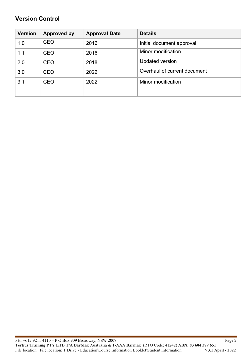#### **Version Control**

| <b>Version</b> | <b>Approved by</b> | <b>Approval Date</b> | <b>Details</b>               |
|----------------|--------------------|----------------------|------------------------------|
| 1.0            | <b>CEO</b>         | 2016                 | Initial document approval    |
| 1.1            | <b>CEO</b>         | 2016                 | Minor modification           |
| 2.0            | <b>CEO</b>         | 2018                 | <b>Updated version</b>       |
| 3.0            | <b>CEO</b>         | 2022                 | Overhaul of current document |
| 3.1            | <b>CEO</b>         | 2022                 | Minor modification           |
|                |                    |                      |                              |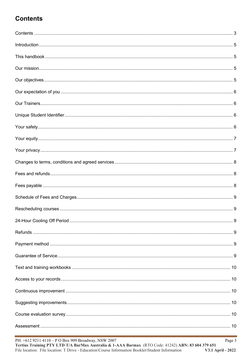#### **Contents**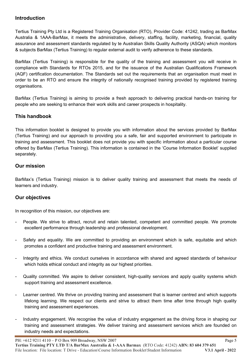#### **Introduction**

Tertius Training Pty Ltd is a Registered Training Organisation (RTO), Provider Code: 41242, trading as BarMax Australia & 1AAA-BarMax, it meets the administrative, delivery, staffing, facility, marketing, financial, quality assurance and assessment standards regulated by te Australian Skills Quality Authority (ASQA) which monitors & subjects BarMax (Tertius Training) to regular external audit to verify adherence to these standards.

BarMax (Tertius Training) is responsible for the quality of the training and assessment you will receive in compliance with Standards for RTOs 2015, and for the issuance of the Australian Qualifications Framework (AQF) certification documentation. The Standards set out the requirements that an organisation must meet in order to be an RTO and ensure the integrity of nationally recognised training provided by registered training organisations.

BarMax (Tertius Training) is aiming to provide a fresh approach to delivering practical hands-on training for people who are seeking to enhance their work skills and career prospects in hospitality.

#### **This handbook**

This information booklet is designed to provide you with information about the services provided by BarMax (Tertius Training) and our approach to providing you a safe, fair and supported environment to participate in training and assessment. This booklet does not provide you with specific information about a particular course offered by BarMax (Tertius Training). This information is contained in the 'Course Information Booklet' supplied separately.

#### **Our mission**

BarMax's (Tertius Training) mission is to deliver quality training and assessment that meets the needs of learners and industry.

#### **Our objectives**

In recognition of this mission, our objectives are:

- People. We strive to attract, recruit and retain talented, competent and committed people. We promote excellent performance through leadership and professional development.
- Safety and equality. We are committed to providing an environment which is safe, equitable and which promotes a confident and productive training and assessment environment.
- Integrity and ethics. We conduct ourselves in accordance with shared and agreed standards of behaviour which holds ethical conduct and integrity as our highest priorities.
- Quality committed. We aspire to deliver consistent, high-quality services and apply quality systems which support training and assessment excellence.
- Learner centred. We thrive on providing training and assessment that is learner centred and which supports lifelong learning. We respect our clients and strive to attract them time after time through high quality training and assessment experiences.
- Industry engagement. We recognise the value of industry engagement as the driving force in shaping our training and assessment strategies. We deliver training and assessment services which are founded on industry needs and expectations.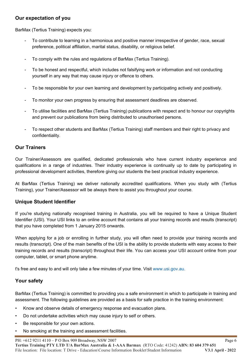#### **Our expectation of you**

BarMax (Tertius Training) expects you:

- To contribute to learning in a harmonious and positive manner irrespective of gender, race, sexual preference, political affiliation, marital status, disability, or religious belief.
- To comply with the rules and regulations of BarMax (Tertius Training).
- To be honest and respectful, which includes not falsifying work or information and not conducting yourself in any way that may cause injury or offence to others.
- To be responsible for your own learning and development by participating actively and positively.
- To monitor your own progress by ensuring that assessment deadlines are observed.
- To utilise facilities and BarMax (Tertius Training) publications with respect and to honour our copyrights and prevent our publications from being distributed to unauthorised persons.
- To respect other students and BarMax (Tertius Training) staff members and their right to privacy and confidentiality.

#### **Our Trainers**

Our Trainer/Assessors are qualified, dedicated professionals who have current industry experience and qualifications in a range of industries. Their industry experience is continually up to date by participating in professional development activities, therefore giving our students the best practical industry experience.

At BarMax (Tertius Training) we deliver nationally accredited qualifications. When you study with (Tertius Training), your Trainer/Assessor will be always there to assist you throughout your course.

#### **Unique Student Identifier**

If you're studying nationally recognised training in Australia, you will be required to have a Unique Student Identifier (USI). Your USI links to an online account that contains all your training records and results (transcript) that you have completed from 1 January 2015 onwards.

When applying for a job or enrolling in further study, you will often need to provide your training records and results (transcript). One of the main benefits of the USI is the ability to provide students with easy access to their training records and results (transcript) throughout their life. You can access your USI account online from your computer, tablet, or smart phone anytime.

t's free and easy to and will only take a few minutes of your time. Visit www.usi.gov.au.

#### **Your safety**

BarMax (Tertius Training) is committed to providing you a safe environment in which to participate in training and assessment. The following guidelines are provided as a basis for safe practice in the training environment:

- Know and observe details of emergency response and evacuation plans.
- Do not undertake activities which may cause injury to self or others.
- Be responsible for your own actions.
- No smoking at the training and assessment facilities.

PH: +612 9211 4110 – P O Box 909 Broadway, NSW 2007

**Tertius Training PTY LTD T/A BarMax Australia & 1-AAA Barmax** (RTO Code: 41242) **ABN: 83 604 379 651**  File location: File location: T Drive - Education\Course Information Booklet\Student Information **V3.1 April - 2022**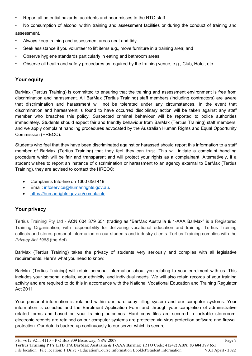• Report all potential hazards, accidents and near misses to the RTO staff.

No consumption of alcohol within training and assessment facilities or during the conduct of training and assessment.

- Always keep training and assessment areas neat and tidy.
- Seek assistance if you volunteer to lift items e.g., move furniture in a training area; and
- Observe hygiene standards particularly in eating and bathroom areas.
- Observe all health and safety procedures as required by the training venue, e.g., Club, Hotel, etc.

#### **Your equity**

BarMax (Tertius Training) is committed to ensuring that the training and assessment environment is free from discrimination and harassment. All BarMax (Tertius Training) staff members (including contractors) are aware that discrimination and harassment will not be tolerated under any circumstances. In the event that discrimination and harassment is found to have occurred disciplinary action will be taken against any staff member who breaches this policy. Suspected criminal behaviour will be reported to police authorities immediately. Students should expect fair and friendly behaviour from BarMax (Tertius Training) staff members, and we apply complaint handling procedures advocated by the Australian Human Rights and Equal Opportunity Commission (HREOC).

Students who feel that they have been discriminated against or harassed should report this information to a staff member of BarMax (Tertius Training) that they feel they can trust. This will initiate a complaint handling procedure which will be fair and transparent and will protect your rights as a complainant. Alternatively, if a student wishes to report an instance of discrimination or harassment to an agency external to BarMax (Tertius Training), they are advised to contact the HREOC:

- Complaints Info-line on 1300 656 419
- **Email: infoservice@humanrights.gov.au.**
- https://humanrights.gov.au/complaints

#### **Your privacy**

Tertius Training Pty Ltd - ACN 604 379 651 (trading as "BarMax Australia & 1-AAA BarMax" is a Registered Training Organisation, with responsibility for delivering vocational education and training. Tertius Training collects and stores personal information on our students and industry clients. Tertius Training complies with the *Privacy Act 1988* (the Act).

BarMax (Tertius Training) takes the privacy of students very seriously and complies with all legislative requirements. Here's what you need to know:

BarMax (Tertius Training) will retain personal information about you relating to your enrolment with us. This includes your personal details, your ethnicity, and individual needs. We will also retain records of your training activity and are required to do this in accordance with the National Vocational Education and Training Regulator Act 2011

Your personal information is retained within our hard copy filling system and our computer systems. Your information is collected and the Enrolment Application Form and through your completion of administrative related forms and based on your training outcomes. Hard copy files are secured in lockable storeroom, electronic records are retained on our computer systems are protected via virus protection software and firewall protection. Our data is backed up continuously to our server which is secure.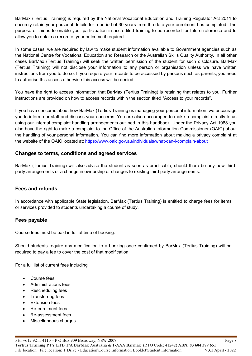BarMax (Tertius Training) is required by the National Vocational Education and Training Regulator Act 2011 to securely retain your personal details for a period of 30 years from the date your enrolment has completed. The purpose of this is to enable your participation in accredited training to be recorded for future reference and to allow you to obtain a record of your outcome if required.

In some cases, we are required by law to make student information available to Government agencies such as the National Centre for Vocational Education and Research or the Australian Skills Quality Authority. In all other cases BarMax (Tertius Training) will seek the written permission of the student for such disclosure. BarMax (Tertius Training) will not disclose your information to any person or organisation unless we have written instructions from you to do so. If you require your records to be accessed by persons such as parents, you need to authorise this access otherwise this access will be denied.

You have the right to access information that BarMax (Tertius Training) is retaining that relates to you. Further instructions are provided on how to access records within the section titled "Access to your records".

If you have concerns about how BarMax (Tertius Training) is managing your personal information, we encourage you to inform our staff and discuss your concerns. You are also encouraged to make a complaint directly to us using our internal complaint handling arrangements outlined in this handbook. Under the Privacy Act 1988 you also have the right to make a complaint to the Office of the Australian Information Commissioner (OAIC) about the handling of your personal information. You can find more information about making a privacy complaint at the website of the OAIC located at: https://www.oaic.gov.au/individuals/what-can-i-complain-about

#### **Changes to terms, conditions and agreed services**

BarMax (Tertius Training) will also advise the student as soon as practicable, should there be any new thirdparty arrangements or a change in ownership or changes to existing third party arrangements.

#### **Fees and refunds**

In accordance with applicable State legislation, BarMax (Tertius Training) is entitled to charge fees for items or services provided to students undertaking a course of study.

#### **Fees payable**

Course fees must be paid in full at time of booking.

Should students require any modification to a booking once confirmed by BarMax (Tertius Training) will be required to pay a fee to cover the cost of that modification.

For a full list of current fees including

- Course fees
- Administrations fees
- Rescheduling fees
- Transferring fees
- Extension fees
- Re-enrolment fees
- Re-assessment fees
- Miscellaneous charges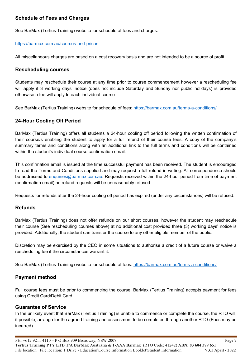#### **Schedule of Fees and Charges**

See BarMax (Tertius Training) website for schedule of fees and charges:

#### https://barmax.com.au/courses-and-prices

All miscellaneous charges are based on a cost recovery basis and are not intended to be a source of profit.

#### **Rescheduling courses**

Students may reschedule their course at any time prior to course commencement however a rescheduling fee will apply if 3 working days' notice (does not include Saturday and Sunday nor public holidays) is provided otherwise a fee will apply to each individual course.

See BarMax (Tertius Training) website for schedule of fees: https://barmax.com.au/terms-a-conditions/

#### **24-Hour Cooling Off Period**

BarMax (Tertius Training) offers all students a 24-hour cooling off period following the written confirmation of their course/s enabling the student to apply for a full refund of their course fees. A copy of the company's summary terms and conditions along with an additional link to the full terms and conditions will be contained within the student's individual course confirmation email.

This confirmation email is issued at the time successful payment has been received. The student is encouraged to read the Terms and Conditions supplied and may request a full refund in writing. All correspondence should be addressed to enquiries@barmax.com.au. Requests received within the 24-hour period from time of payment (confirmation email) no refund requests will be unreasonably refused.

Requests for refunds after the 24-hour cooling off period has expired (under any circumstances) will be refused.

#### **Refunds**

BarMax (Tertius Training) does not offer refunds on our short courses, however the student may reschedule their course (See rescheduling courses above) at no additional cost provided three (3) working days' notice is provided. Additionally, the student can transfer the course to any other eligible member of the public.

Discretion may be exercised by the CEO in some situations to authorise a credit of a future course or waive a rescheduling fee if the circumstances warrant it.

See BarMax (Tertius Training) website for schedule of fees: https://barmax.com.au/terms-a-conditions/

#### **Payment method**

Full course fees must be prior to commencing the course. BarMax (Tertius Training) accepts payment for fees using Credit Card/Debit Card.

#### **Guarantee of Service**

In the unlikely event that BarMax (Tertius Training) is unable to commence or complete the course, the RTO will, if possible, arrange for the agreed training and assessment to be completed through another RTO (Fees may be incurred).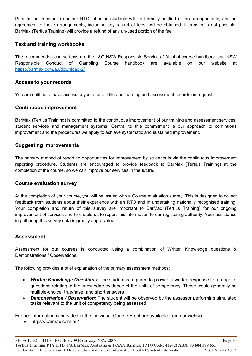Prior to the transfer to another RTO, affected students will be formally notified of the arrangements, and an agreement to those arrangements, including any refund of fees, will be obtained. If transfer is not possible, BarMax (Tertius Training) will provide a refund of any un-used portion of the fee.

#### **Text and training workbooks**

The recommended course texts are the L&G NSW Responsible Service of Alcohol course handbook and NSW Responsible Conduct of Gambling Course handbook are available on our website at https://barmax.com.au/download-2/

#### **Access to your records**

You are entitled to have access to your student file and learning and assessment records on request.

#### **Continuous improvement**

BarMax (Tertius Training) is committed to the continuous improvement of our training and assessment services, student services and management systems. Central to this commitment is our approach to continuous improvement and the procedures we apply to achieve systematic and sustained improvement.

#### **Suggesting improvements**

The primary method of reporting opportunities for improvement by students is via the continuous improvement reporting procedure. Students are encouraged to provide feedback to BarMax (Tertius Training) at the completion of the course, so we can improve our services in the future.

#### **Course evaluation survey**

At the completion of your course, you will be issued with a Course evaluation survey. This is designed to collect feedback from students about their experience with an RTO and in undertaking nationally recognised training. Your completion and return of this survey are important to BarMax (Tertius Training) for our ongoing improvement of services and to enable us to report this information to our registering authority. Your assistance in gathering this survey data is greatly appreciated.

#### **Assessment**

Assessment for our courses is conducted using a combination of Written Knowledge questions & Demonstrations / Observations.

The following provides a brief explanation of the primary assessment methods:

- *Written Knowledge Questions:* The student is required to provide a written response to a range of questions relating to the knowledge evidence of the units of competency. These would generally be multiple-choice, true/false, and short answers
- *Demonstration / Observation:* The student will be observed by the assessor performing simulated tasks relevant to the unit of competency being assessed.

Further information is provided in the individual Course Brochure available from our website:

https://barmax.com.au/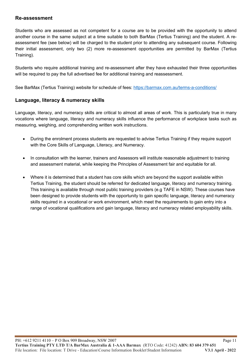#### **Re-assessment**

Students who are assessed as not competent for a course are to be provided with the opportunity to attend another course in the same subject at a time suitable to both BarMax (Tertius Training) and the student. A reassessment fee (see below) will be charged to the student prior to attending any subsequent course. Following their initial assessment, only two (2) more re-assessment opportunities are permitted by BarMax (Tertius Training).

Students who require additional training and re-assessment after they have exhausted their three opportunities will be required to pay the full advertised fee for additional training and reassessment.

See BarMax (Tertius Training) website for schedule of fees: https://barmax.com.au/terms-a-conditions/

#### **Language, literacy & numeracy skills**

Language, literacy, and numeracy skills are critical to almost all areas of work. This is particularly true in many vocations where language, literacy and numeracy skills influence the performance of workplace tasks such as measuring, weighing, and comprehending written work instructions.

- During the enrolment process students are requested to advise Tertius Training if they require support with the Core Skills of Language, Literacy, and Numeracy.
- In consultation with the learner, trainers and Assessors will institute reasonable adjustment to training and assessment material, while keeping the Principles of Assessment fair and equitable for all.
- Where it is determined that a student has core skills which are beyond the support available within Tertius Training, the student should be referred for dedicated language, literacy and numeracy training. This training is available through most public training providers (e.g TAFE in NSW). These courses have been designed to provide students with the opportunity to gain specific language, literacy and numeracy skills required in a vocational or work environment, which meet the requirements to gain entry into a range of vocational qualifications and gain language, literacy and numeracy related employability skills.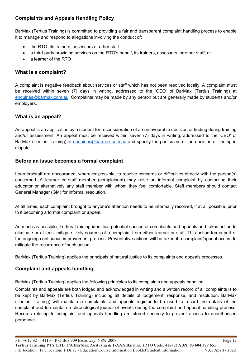#### **Complaints and Appeals Handling Policy**

BarMax (Tertius Training) is committed to providing a fair and transparent complaint handling process to enable it to manage and respond to allegations involving the conduct of:

- the RTO, its trainers, assessors or other staff.
- a third-party providing services on the RTO's behalf, its trainers, assessors, or other staff; or
- a learner of the RTO

#### **What is a complaint?**

A complaint is negative feedback about services or staff which has not been resolved locally. A complaint must be received within seven (7) days in writing, addressed to the 'CEO' of BarMax (Tertius Training) at enquiries@barmax.com.au. Complaints may be made by any person but are generally made by students and/or employers.

#### **What is an appeal?**

An appeal is an application by a student for reconsideration of an unfavourable decision or finding during training and/or assessment. An appeal must be received within seven (7) days in writing, addressed to the 'CEO' of BarMax (Tertius Training) at enquiries@barmax.com.au and specify the particulars of the decision or finding in dispute.

#### **Before an issue becomes a formal complaint**

Learners/staff are encouraged, wherever possible, to resolve concerns or difficulties directly with the person(s) concerned. A learner or staff member (complainant) may raise an informal complaint by contacting their educator or alternatively any staff member with whom they feel comfortable. Staff members should contact General Manager (GM) for informal resolution.

At all times, each complaint brought to anyone's attention needs to be informally resolved, if at all possible, prior to it becoming a formal complaint or appeal.

As much as possible, Tertius Training identifies potential causes of complaints and appeals and takes action to eliminate or at least mitigate likely sources of a complaint from either learner or staff. This action forms part of the ongoing continuous improvement process. Preventative actions will be taken if a complaint/appeal occurs to mitigate the recurrence of such action.

BarMax (Tertius Training) applies the principals of natural justice to its complaints and appeals processes.

#### **Complaint and appeals handling**

BarMax (Tertius Training) applies the following principles to its complaints and appeals handling:

Complaints and appeals are both lodged and acknowledged in writing and a written record of all complaints is to be kept by BarMax (Tertius Training) including all details of lodgement, response, and resolution. BarMax (Tertius Training) will maintain a complaints and appeals register to be used to record the details of the complaint and to maintain a chronological journal of events during the complaint and appeal handling process. Records relating to complaint and appeals handling are stored securely to prevent access to unauthorised personnel.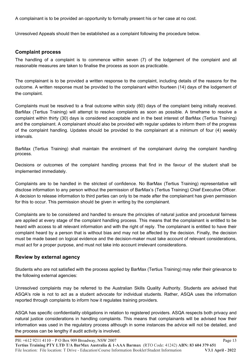A complainant is to be provided an opportunity to formally present his or her case at no cost.

Unresolved Appeals should then be established as a complaint following the procedure below.

#### **Complaint process**

The handling of a complaint is to commence within seven (7) of the lodgement of the complaint and all reasonable measures are taken to finalise the process as soon as practicable.

The complainant is to be provided a written response to the complaint, including details of the reasons for the outcome. A written response must be provided to the complainant within fourteen (14) days of the lodgement of the complaint.

Complaints must be resolved to a final outcome within sixty (60) days of the complaint being initially received. BarMax (Tertius Training) will attempt to resolve complaints as soon as possible. A timeframe to resolve a complaint within thirty (30) days is considered acceptable and in the best interest of BarMax (Tertius Training) and the complainant. A complainant should also be provided with regular updates to inform them of the progress of the complaint handling. Updates should be provided to the complainant at a minimum of four (4) weekly intervals.

BarMax (Tertius Training) shall maintain the enrolment of the complainant during the complaint handling process.

Decisions or outcomes of the complaint handling process that find in the favour of the student shall be implemented immediately.

Complaints are to be handled in the strictest of confidence. No BarMax (Tertius Training) representative will disclose information to any person without the permission of BarMax's (Tertius Training) Chief Executive Officer. A decision to release information to third parties can only to be made after the complainant has given permission for this to occur. This permission should be given in writing by the complainant.

Complaints are to be considered and handled to ensure the principles of natural justice and procedural fairness are applied at every stage of the complaint handling process. This means that the complainant is entitled to be heard with access to all relevant information and with the right of reply. The complainant is entitled to have their complaint heard by a person that is without bias and may not be affected by the decision. Finally, the decision must be made based on logical evidence and the decision-maker must take account of relevant considerations, must act for a proper purpose, and must not take into account irrelevant considerations.

#### **Review by external agency**

Students who are not satisfied with the process applied by BarMax (Tertius Training) may refer their grievance to the following external agencies:

Unresolved complaints may be referred to the Australian Skills Quality Authority. Students are advised that ASQA's role is not to act as a student advocate for individual students. Rather, ASQA uses the information reported through complaints to inform how it regulates training providers.

ASQA has specific confidentiality obligations in relation to registered providers. ASQA respects both privacy and natural justice considerations in handling complaints. This means that complainants will be advised how their information was used in the regulatory process although in some instances the advice will not be detailed, and the process can be lengthy if audit activity is involved.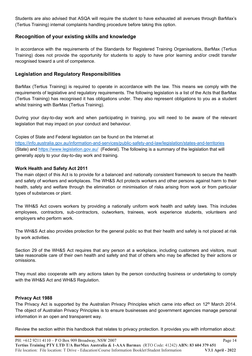Students are also advised that ASQA will require the student to have exhausted all avenues through BarMax's (Tertius Training) internal complaints handling procedure before taking this option.

#### **Recognition of your existing skills and knowledge**

In accordance with the requirements of the Standards for Registered Training Organisations, BarMax (Tertius Training) does not provide the opportunity for students to apply to have prior learning and/or credit transfer recognised toward a unit of competence.

#### **Legislation and Regulatory Responsibilities**

BarMax (Tertius Training) is required to operate in accordance with the law. This means we comply with the requirements of legislative and regulatory requirements. The following legislation is a list of the Acts that BarMax (Tertius Training) has recognised it has obligations under. They also represent obligations to you as a student whilst training with BarMax (Tertius Training).

During your day-to-day work and when participating in training, you will need to be aware of the relevant legislation that may impact on your conduct and behaviour.

#### Copies of State and Federal legislation can be found on the Internet at

https://info.australia.gov.au/information-and-services/public-safety-and-law/legislation/states-and-territories (State) and https://www.legislation.gov.au/ (Federal). The following is a summary of the legislation that will generally apply to your day-to-day work and training.

#### **Work Health and Safety Act 2011**

The main object of this Act is to provide for a balanced and nationally consistent framework to secure the health and safety of workers and workplaces. The WH&S Act protects workers and other persons against harm to their health, safety and welfare through the elimination or minimisation of risks arising from work or from particular types of substances or plant.

The WH&S Act covers workers by providing a nationally uniform work health and safety laws. This includes employees, contractors, sub-contractors, outworkers, trainees, work experience students, volunteers and employers who perform work.

The WH&S Act also provides protection for the general public so that their health and safety is not placed at risk by work activities.

Section 29 of the WH&S Act requires that any person at a workplace, including customers and visitors, must take reasonable care of their own health and safety and that of others who may be affected by their actions or omissions.

They must also cooperate with any actions taken by the person conducting business or undertaking to comply with the WH&S Act and WH&S Regulation.

#### **Privacy Act 1988**

The Privacy Act is supported by the Australian Privacy Principles which came into effect on 12<sup>th</sup> March 2014. The object of Australian Privacy Principles is to ensure businesses and government agencies manage personal information in an open and transparent way.

Review the section within this handbook that relates to privacy protection. It provides you with information about: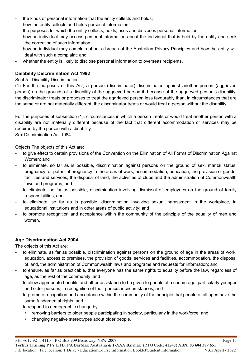- the kinds of personal information that the entity collects and holds:
- how the entity collects and holds personal information;
- the purposes for which the entity collects, holds, uses and discloses personal information;
- how an individual may access personal information about the individual that is held by the entity and seek the correction of such information;
- how an individual may complain about a breach of the Australian Privacy Principles and how the entity will deal with such a complaint; and
- whether the entity is likely to disclose personal information to overseas recipients.

#### **Disability Discrimination Act 1992**

Sect 5 - Disability Discrimination

(1) For the purposes of this Act, a person (discriminator) discriminates against another person (aggrieved person) on the grounds of a disability of the aggrieved person if, because of the aggrieved person's disability, the discriminator treats or proposes to treat the aggrieved person less favourably than, in circumstances that are the same or are not materially different, the discriminator treats or would treat a person without the disability.

For the purposes of subsection (1), circumstances in which a person treats or would treat another person with a disability are not materially different because of the fact that different accommodation or services may be required by the person with a disability.

Sex Discrimination Act 1984

Objects The objects of this Act are:

- to give effect to certain provisions of the Convention on the Elimination of All Forms of Discrimination Against Women; and
- to eliminate, so far as is possible, discrimination against persons on the ground of sex, marital status, pregnancy, or potential pregnancy in the areas of work, accommodation, education, the provision of goods, facilities and services, the disposal of land, the activities of clubs and the administration of Commonwealth laws and programs; and
- to eliminate, so far as possible, discrimination involving dismissal of employees on the ground of family responsibilities; and
- to eliminate, so far as is possible, discrimination involving sexual harassment in the workplace, in educational institutions and in other areas of public activity; and
- to promote recognition and acceptance within the community of the principle of the equality of men and women.

#### **Age Discrimination Act 2004**

The objects of this Act are:

- to eliminate, as far as possible, discrimination against persons on the ground of age in the areas of work, education, access to premises, the provision of goods, services and facilities, accommodation, the disposal of land, the administration of Commonwealth laws and programs and requests for information; and
- to ensure, as far as practicable, that everyone has the same rights to equality before the law, regardless of age, as the rest of the community; and
- to allow appropriate benefits and other assistance to be given to people of a certain age, particularly younger and older persons, in recognition of their particular circumstances; and
- to promote recognition and acceptance within the community of the principle that people of all ages have the same fundamental rights; and
- to respond to demographic change by:
	- removing barriers to older people participating in society, particularly in the workforce; and
	- changing negative stereotypes about older people.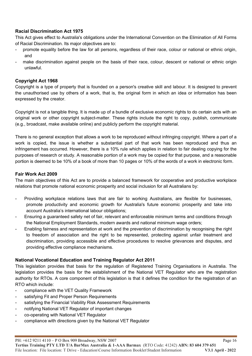#### **Racial Discrimination Act 1975**

This Act gives effect to Australia's obligations under the International Convention on the Elimination of All Forms of Racial Discrimination. Its major objectives are to:

- promote equality before the law for all persons, regardless of their race, colour or national or ethnic origin, and
- make discrimination against people on the basis of their race, colour, descent or national or ethnic origin unlawful.

#### **Copyright Act 1968**

Copyright is a type of property that is founded on a person's creative skill and labour. It is designed to prevent the unauthorised use by others of a work, that is, the original form in which an idea or information has been expressed by the creator.

Copyright is not a tangible thing. It is made up of a bundle of exclusive economic rights to do certain acts with an original work or other copyright subject-matter. These rights include the right to copy, publish, communicate (e.g., broadcast, make available online) and publicly perform the copyright material.

There is no general exception that allows a work to be reproduced without infringing copyright. Where a part of a work is copied, the issue is whether a substantial part of that work has been reproduced and thus an infringement has occurred. However, there is a 10% rule which applies in relation to fair dealing copying for the purposes of research or study. A reasonable portion of a work may be copied for that purpose, and a reasonable portion is deemed to be 10% of a book of more than 10 pages or 10% of the words of a work in electronic form.

#### **Fair Work Act 2009**

The main objectives of this Act are to provide a balanced framework for cooperative and productive workplace relations that promote national economic prosperity and social inclusion for all Australians by:

- Providing workplace relations laws that are fair to working Australians, are flexible for businesses, promote productivity and economic growth for Australia's future economic prosperity and take into account Australia's international labour obligations;
- Ensuring a guaranteed safety net of fair, relevant and enforceable minimum terms and conditions through the National Employment Standards, modern awards and national minimum wage orders;
- Enabling fairness and representation at work and the prevention of discrimination by recognising the right to freedom of association and the right to be represented, protecting against unfair treatment and discrimination, providing accessible and effective procedures to resolve grievances and disputes, and providing effective compliance mechanisms.

#### **National Vocational Education and Training Regulator Act 2011**

This legislation provides that basis for the regulation of Registered Training Organisations in Australia. The legislation provides the basis for the establishment of the National VET Regulator who are the registration authority for RTOs. A core component of this legislation is that it defines the condition for the registration of an RTO which include:

- compliance with the VET Quality Framework
- satisfying Fit and Proper Person Requirements
- satisfying the Financial Viability Risk Assessment Requirements
- notifying National VET Regulator of important changes
- co-operating with National VET Regulator
- compliance with directions given by the National VET Regulator